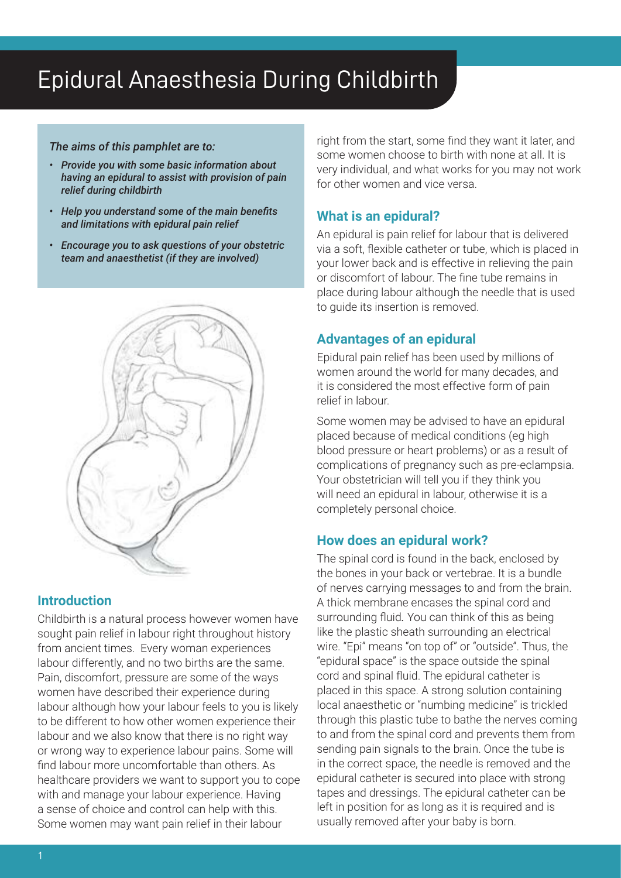# Epidural Anaesthesia During Childbirth

#### *The aims of this pamphlet are to:*

- *• Provide you with some basic information about having an epidural to assist with provision of pain relief during childbirth*
- *• Help you understand some of the main benefits and limitations with epidural pain relief*
- *• Encourage you to ask questions of your obstetric team and anaesthetist (if they are involved)*



## **Introduction**

Childbirth is a natural process however women have sought pain relief in labour right throughout history from ancient times. Every woman experiences labour differently, and no two births are the same. Pain, discomfort, pressure are some of the ways women have described their experience during labour although how your labour feels to you is likely to be different to how other women experience their labour and we also know that there is no right way or wrong way to experience labour pains. Some will find labour more uncomfortable than others. As healthcare providers we want to support you to cope with and manage your labour experience. Having a sense of choice and control can help with this. Some women may want pain relief in their labour

right from the start, some find they want it later, and some women choose to birth with none at all. It is very individual, and what works for you may not work for other women and vice versa.

## **What is an epidural?**

An epidural is pain relief for labour that is delivered via a soft, flexible catheter or tube, which is placed in your lower back and is effective in relieving the pain or discomfort of labour. The fine tube remains in place during labour although the needle that is used to guide its insertion is removed.

## **Advantages of an epidural**

Epidural pain relief has been used by millions of women around the world for many decades, and it is considered the most effective form of pain relief in labour.

Some women may be advised to have an epidural placed because of medical conditions (eg high blood pressure or heart problems) or as a result of complications of pregnancy such as pre-eclampsia. Your obstetrician will tell you if they think you will need an epidural in labour, otherwise it is a completely personal choice.

## **How does an epidural work?**

The spinal cord is found in the back, enclosed by the bones in your back or vertebrae. It is a bundle of nerves carrying messages to and from the brain. A thick membrane encases the spinal cord and surrounding fluid*.* You can think of this as being like the plastic sheath surrounding an electrical wire. "Epi" means "on top of" or "outside". Thus, the "epidural space" is the space outside the spinal cord and spinal fluid. The epidural catheter is placed in this space. A strong solution containing local anaesthetic or "numbing medicine" is trickled through this plastic tube to bathe the nerves coming to and from the spinal cord and prevents them from sending pain signals to the brain. Once the tube is in the correct space, the needle is removed and the epidural catheter is secured into place with strong tapes and dressings. The epidural catheter can be left in position for as long as it is required and is usually removed after your baby is born.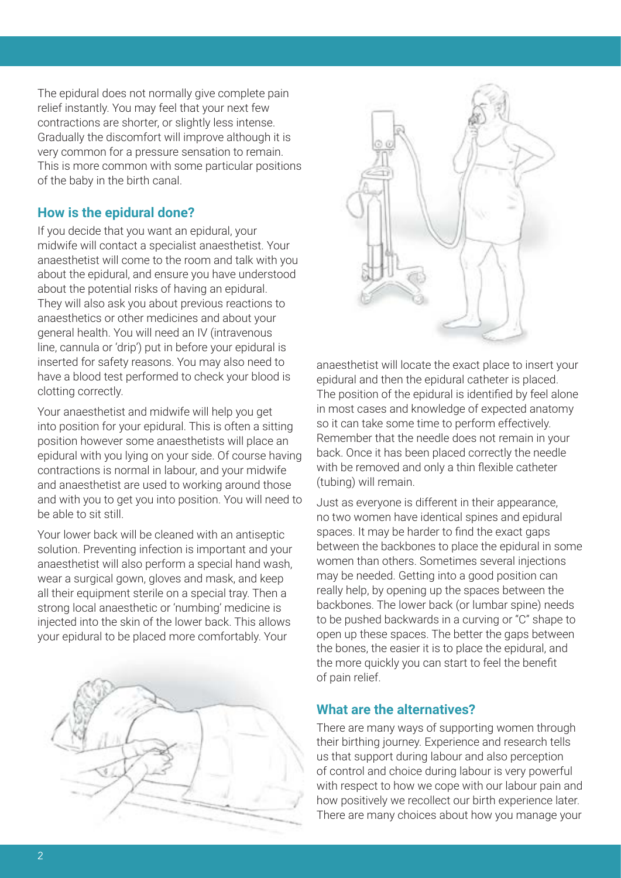The epidural does not normally give complete pain relief instantly. You may feel that your next few contractions are shorter, or slightly less intense. Gradually the discomfort will improve although it is very common for a pressure sensation to remain. This is more common with some particular positions of the baby in the birth canal.

## **How is the epidural done?**

If you decide that you want an epidural, your midwife will contact a specialist anaesthetist. Your anaesthetist will come to the room and talk with you about the epidural, and ensure you have understood about the potential risks of having an epidural. They will also ask you about previous reactions to anaesthetics or other medicines and about your general health. You will need an IV (intravenous line, cannula or 'drip') put in before your epidural is inserted for safety reasons. You may also need to have a blood test performed to check your blood is clotting correctly.

Your anaesthetist and midwife will help you get into position for your epidural. This is often a sitting position however some anaesthetists will place an epidural with you lying on your side. Of course having contractions is normal in labour, and your midwife and anaesthetist are used to working around those and with you to get you into position. You will need to be able to sit still.

Your lower back will be cleaned with an antiseptic solution. Preventing infection is important and your anaesthetist will also perform a special hand wash, wear a surgical gown, gloves and mask, and keep all their equipment sterile on a special tray. Then a strong local anaesthetic or 'numbing' medicine is injected into the skin of the lower back. This allows your epidural to be placed more comfortably. Your





anaesthetist will locate the exact place to insert your epidural and then the epidural catheter is placed. The position of the epidural is identified by feel alone in most cases and knowledge of expected anatomy so it can take some time to perform effectively. Remember that the needle does not remain in your back. Once it has been placed correctly the needle with be removed and only a thin flexible catheter (tubing) will remain.

Just as everyone is different in their appearance, no two women have identical spines and epidural spaces. It may be harder to find the exact gaps between the backbones to place the epidural in some women than others. Sometimes several injections may be needed. Getting into a good position can really help, by opening up the spaces between the backbones. The lower back (or lumbar spine) needs to be pushed backwards in a curving or "C" shape to open up these spaces. The better the gaps between the bones, the easier it is to place the epidural, and the more quickly you can start to feel the benefit of pain relief.

# **What are the alternatives?**

There are many ways of supporting women through their birthing journey. Experience and research tells us that support during labour and also perception of control and choice during labour is very powerful with respect to how we cope with our labour pain and how positively we recollect our birth experience later. There are many choices about how you manage your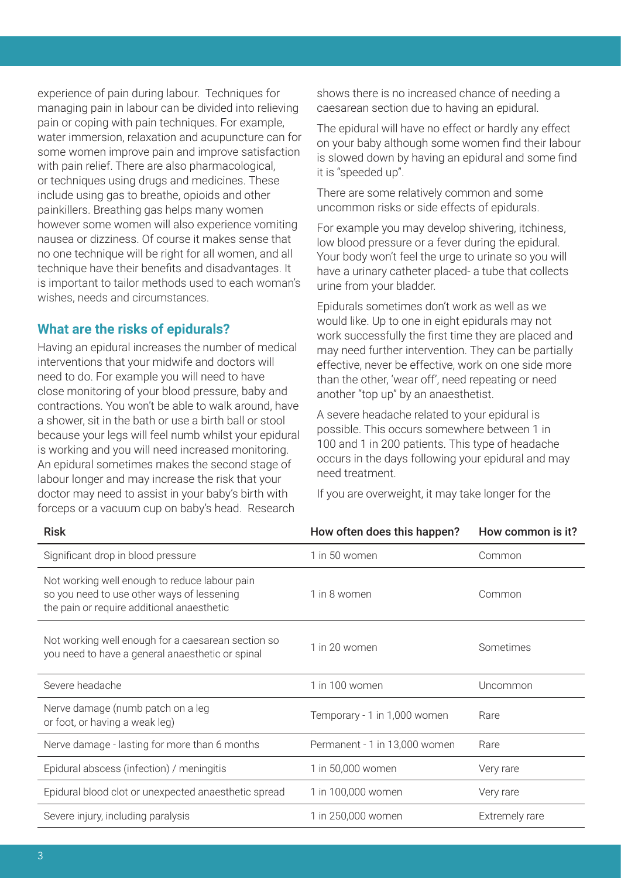experience of pain during labour. Techniques for managing pain in labour can be divided into relieving pain or coping with pain techniques. For example, water immersion, relaxation and acupuncture can for some women improve pain and improve satisfaction with pain relief. There are also pharmacological, or techniques using drugs and medicines. These include using gas to breathe, opioids and other painkillers. Breathing gas helps many women however some women will also experience vomiting nausea or dizziness. Of course it makes sense that no one technique will be right for all women, and all technique have their benefits and disadvantages. It is important to tailor methods used to each woman's wishes, needs and circumstances.

## **What are the risks of epidurals?**

Having an epidural increases the number of medical interventions that your midwife and doctors will need to do. For example you will need to have close monitoring of your blood pressure, baby and contractions. You won't be able to walk around, have a shower, sit in the bath or use a birth ball or stool because your legs will feel numb whilst your epidural is working and you will need increased monitoring. An epidural sometimes makes the second stage of labour longer and may increase the risk that your doctor may need to assist in your baby's birth with forceps or a vacuum cup on baby's head. Research

shows there is no increased chance of needing a caesarean section due to having an epidural.

The epidural will have no effect or hardly any effect on your baby although some women find their labour is slowed down by having an epidural and some find it is "speeded up".

There are some relatively common and some uncommon risks or side effects of epidurals.

For example you may develop shivering, itchiness, low blood pressure or a fever during the epidural. Your body won't feel the urge to urinate so you will have a urinary catheter placed- a tube that collects urine from your bladder.

Epidurals sometimes don't work as well as we would like. Up to one in eight epidurals may not work successfully the first time they are placed and may need further intervention. They can be partially effective, never be effective, work on one side more than the other, 'wear off', need repeating or need another "top up" by an anaesthetist.

A severe headache related to your epidural is possible. This occurs somewhere between 1 in 100 and 1 in 200 patients. This type of headache occurs in the days following your epidural and may need treatment.

If you are overweight, it may take longer for the

| <b>Risk</b>                                                                                                                               | How often does this happen?   | How common is it?     |
|-------------------------------------------------------------------------------------------------------------------------------------------|-------------------------------|-----------------------|
| Significant drop in blood pressure                                                                                                        | 1 in 50 women                 | Common                |
| Not working well enough to reduce labour pain<br>so you need to use other ways of lessening<br>the pain or require additional anaesthetic | 1 in 8 women                  | Common                |
| Not working well enough for a caesarean section so<br>you need to have a general anaesthetic or spinal                                    | 1 in 20 women                 | Sometimes             |
| Severe headache                                                                                                                           | 1 in 100 women                | Uncommon              |
| Nerve damage (numb patch on a leg<br>or foot, or having a weak leg)                                                                       | Temporary - 1 in 1,000 women  | Rare                  |
| Nerve damage - lasting for more than 6 months                                                                                             | Permanent - 1 in 13,000 women | Rare                  |
| Epidural abscess (infection) / meningitis                                                                                                 | 1 in 50,000 women             | Very rare             |
| Epidural blood clot or unexpected anaesthetic spread                                                                                      | 1 in 100,000 women            | Very rare             |
| Severe injury, including paralysis                                                                                                        | 1 in 250,000 women            | <b>Extremely rare</b> |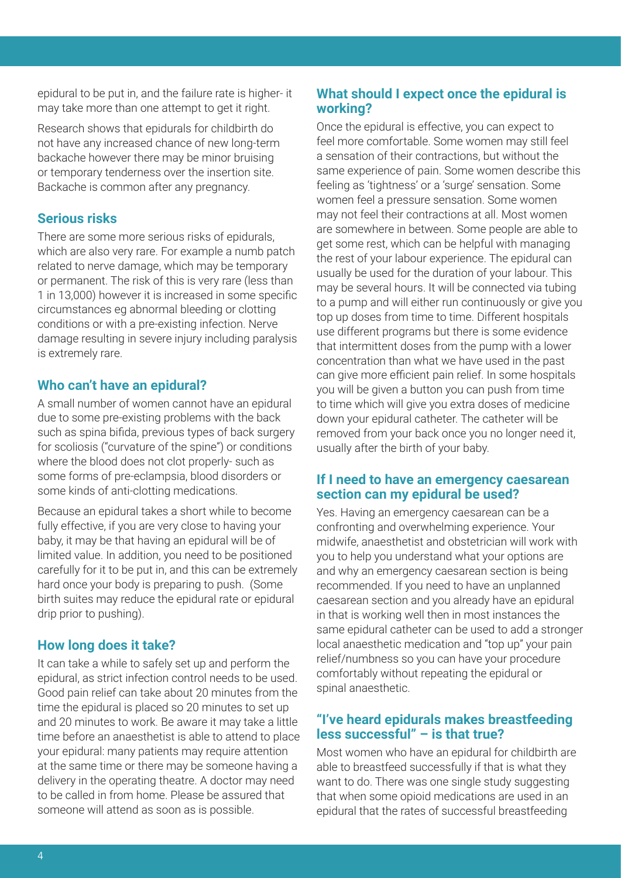epidural to be put in, and the failure rate is higher- it may take more than one attempt to get it right.

Research shows that epidurals for childbirth do not have any increased chance of new long-term backache however there may be minor bruising or temporary tenderness over the insertion site. Backache is common after any pregnancy.

### **Serious risks**

There are some more serious risks of epidurals, which are also very rare. For example a numb patch related to nerve damage, which may be temporary or permanent. The risk of this is very rare (less than 1 in 13,000) however it is increased in some specific circumstances eg abnormal bleeding or clotting conditions or with a pre-existing infection. Nerve damage resulting in severe injury including paralysis is extremely rare.

#### **Who can't have an epidural?**

A small number of women cannot have an epidural due to some pre-existing problems with the back such as spina bifida, previous types of back surgery for scoliosis ("curvature of the spine") or conditions where the blood does not clot properly- such as some forms of pre-eclampsia, blood disorders or some kinds of anti-clotting medications.

Because an epidural takes a short while to become fully effective, if you are very close to having your baby, it may be that having an epidural will be of limited value. In addition, you need to be positioned carefully for it to be put in, and this can be extremely hard once your body is preparing to push. (Some birth suites may reduce the epidural rate or epidural drip prior to pushing).

## **How long does it take?**

It can take a while to safely set up and perform the epidural, as strict infection control needs to be used. Good pain relief can take about 20 minutes from the time the epidural is placed so 20 minutes to set up and 20 minutes to work. Be aware it may take a little time before an anaesthetist is able to attend to place your epidural: many patients may require attention at the same time or there may be someone having a delivery in the operating theatre. A doctor may need to be called in from home. Please be assured that someone will attend as soon as is possible.

## **What should I expect once the epidural is working?**

Once the epidural is effective, you can expect to feel more comfortable. Some women may still feel a sensation of their contractions, but without the same experience of pain. Some women describe this feeling as 'tightness' or a 'surge' sensation. Some women feel a pressure sensation. Some women may not feel their contractions at all. Most women are somewhere in between. Some people are able to get some rest, which can be helpful with managing the rest of your labour experience. The epidural can usually be used for the duration of your labour. This may be several hours. It will be connected via tubing to a pump and will either run continuously or give you top up doses from time to time. Different hospitals use different programs but there is some evidence that intermittent doses from the pump with a lower concentration than what we have used in the past can give more efficient pain relief. In some hospitals you will be given a button you can push from time to time which will give you extra doses of medicine down your epidural catheter. The catheter will be removed from your back once you no longer need it, usually after the birth of your baby.

#### **If I need to have an emergency caesarean section can my epidural be used?**

Yes. Having an emergency caesarean can be a confronting and overwhelming experience. Your midwife, anaesthetist and obstetrician will work with you to help you understand what your options are and why an emergency caesarean section is being recommended. If you need to have an unplanned caesarean section and you already have an epidural in that is working well then in most instances the same epidural catheter can be used to add a stronger local anaesthetic medication and "top up" your pain relief/numbness so you can have your procedure comfortably without repeating the epidural or spinal anaesthetic.

## **"I've heard epidurals makes breastfeeding less successful" – is that true?**

Most women who have an epidural for childbirth are able to breastfeed successfully if that is what they want to do. There was one single study suggesting that when some opioid medications are used in an epidural that the rates of successful breastfeeding